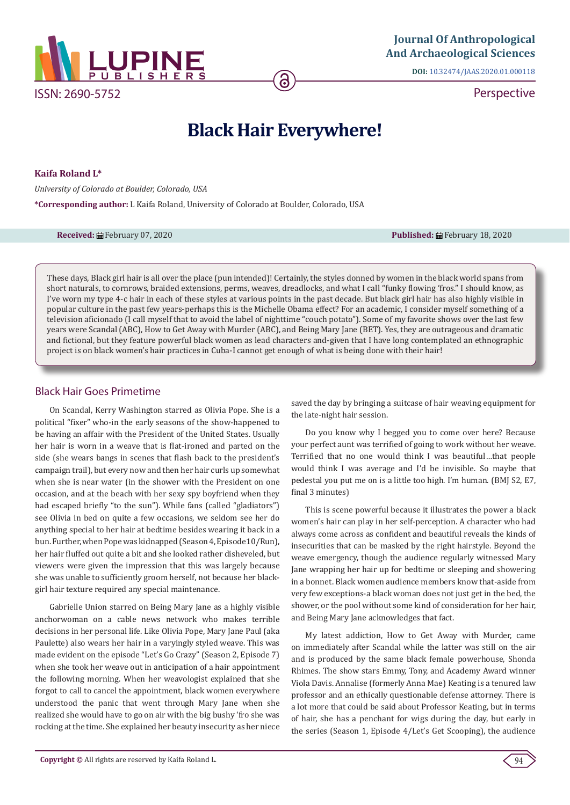

**DOI:** [10.32474/JAAS.2020.01.000118](http://dx.doi.org/10.32474/JAAS.2020.01.000118)

**Perspective** 

# **Black Hair Everywhere!**

**Kaifa Roland L\***

*University of Colorado at Boulder, Colorado, USA*

**\*Corresponding author:** L Kaifa Roland, University of Colorado at Boulder, Colorado, USA

**Received:** ■February 07, 2020 **Published:** February 18, 2020

These days, Black girl hair is all over the place (pun intended)! Certainly, the styles donned by women in the black world spans from short naturals, to cornrows, braided extensions, perms, weaves, dreadlocks, and what I call "funky flowing 'fros." I should know, as I've worn my type 4-c hair in each of these styles at various points in the past decade. But black girl hair has also highly visible in popular culture in the past few years-perhaps this is the Michelle Obama effect? For an academic, I consider myself something of a television aficionado (I call myself that to avoid the label of nighttime "couch potato"). Some of my favorite shows over the last few years were Scandal (ABC), How to Get Away with Murder (ABC), and Being Mary Jane (BET). Yes, they are outrageous and dramatic and fictional, but they feature powerful black women as lead characters and-given that I have long contemplated an ethnographic project is on black women's hair practices in Cuba-I cannot get enough of what is being done with their hair!

## Black Hair Goes Primetime

On Scandal, Kerry Washington starred as Olivia Pope. She is a political "fixer" who-in the early seasons of the show-happened to be having an affair with the President of the United States. Usually her hair is worn in a weave that is flat-ironed and parted on the side (she wears bangs in scenes that flash back to the president's campaign trail), but every now and then her hair curls up somewhat when she is near water (in the shower with the President on one occasion, and at the beach with her sexy spy boyfriend when they had escaped briefly "to the sun"). While fans (called "gladiators") see Olivia in bed on quite a few occasions, we seldom see her do anything special to her hair at bedtime besides wearing it back in a bun. Further, when Pope was kidnapped (Season 4, Episode10/Run), her hair fluffed out quite a bit and she looked rather disheveled, but viewers were given the impression that this was largely because she was unable to sufficiently groom herself, not because her blackgirl hair texture required any special maintenance.

Gabrielle Union starred on Being Mary Jane as a highly visible anchorwoman on a cable news network who makes terrible decisions in her personal life. Like Olivia Pope, Mary Jane Paul (aka Paulette) also wears her hair in a varyingly styled weave. This was made evident on the episode "Let's Go Crazy" (Season 2, Episode 7) when she took her weave out in anticipation of a hair appointment the following morning. When her weavologist explained that she forgot to call to cancel the appointment, black women everywhere understood the panic that went through Mary Jane when she realized she would have to go on air with the big bushy 'fro she was rocking at the time. She explained her beauty insecurity as her niece

saved the day by bringing a suitcase of hair weaving equipment for the late-night hair session.

Do you know why I begged you to come over here? Because your perfect aunt was terrified of going to work without her weave. Terrified that no one would think I was beautiful…that people would think I was average and I'd be invisible. So maybe that pedestal you put me on is a little too high. I'm human. (BMJ S2, E7, final 3 minutes)

This is scene powerful because it illustrates the power a black women's hair can play in her self-perception. A character who had always come across as confident and beautiful reveals the kinds of insecurities that can be masked by the right hairstyle. Beyond the weave emergency, though the audience regularly witnessed Mary Jane wrapping her hair up for bedtime or sleeping and showering in a bonnet. Black women audience members know that-aside from very few exceptions-a black woman does not just get in the bed, the shower, or the pool without some kind of consideration for her hair, and Being Mary Jane acknowledges that fact.

My latest addiction, How to Get Away with Murder, came on immediately after Scandal while the latter was still on the air and is produced by the same black female powerhouse, Shonda Rhimes. The show stars Emmy, Tony, and Academy Award winner Viola Davis. Annalise (formerly Anna Mae) Keating is a tenured law professor and an ethically questionable defense attorney. There is a lot more that could be said about Professor Keating, but in terms of hair, she has a penchant for wigs during the day, but early in the series (Season 1, Episode 4/Let's Get Scooping), the audience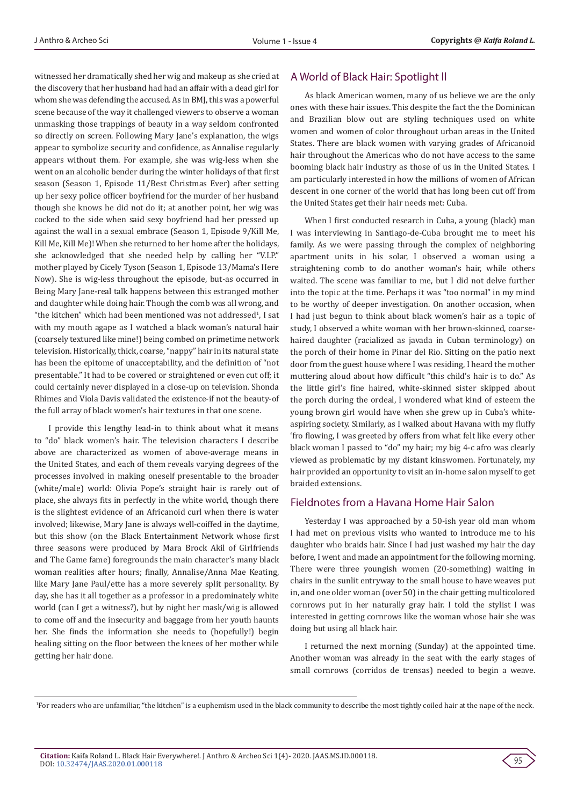witnessed her dramatically shed her wig and makeup as she cried at the discovery that her husband had had an affair with a dead girl for whom she was defending the accused. As in BMJ, this was a powerful scene because of the way it challenged viewers to observe a woman unmasking those trappings of beauty in a way seldom confronted so directly on screen. Following Mary Jane's explanation, the wigs appear to symbolize security and confidence, as Annalise regularly appears without them. For example, she was wig-less when she went on an alcoholic bender during the winter holidays of that first season (Season 1, Episode 11/Best Christmas Ever) after setting up her sexy police officer boyfriend for the murder of her husband though she knows he did not do it; at another point, her wig was cocked to the side when said sexy boyfriend had her pressed up against the wall in a sexual embrace (Season 1, Episode 9/Kill Me, Kill Me, Kill Me)! When she returned to her home after the holidays, she acknowledged that she needed help by calling her "V.I.P." mother played by Cicely Tyson (Season 1, Episode 13/Mama's Here Now). She is wig-less throughout the episode, but-as occurred in Being Mary Jane-real talk happens between this estranged mother and daughter while doing hair. Though the comb was all wrong, and "the kitchen" which had been mentioned was not addressed<sup>1</sup>, I sat with my mouth agape as I watched a black woman's natural hair (coarsely textured like mine!) being combed on primetime network television. Historically, thick, coarse, "nappy" hair in its natural state has been the epitome of unacceptability, and the definition of "not presentable." It had to be covered or straightened or even cut off; it could certainly never displayed in a close-up on television. Shonda Rhimes and Viola Davis validated the existence-if not the beauty-of the full array of black women's hair textures in that one scene.

I provide this lengthy lead-in to think about what it means to "do" black women's hair. The television characters I describe above are characterized as women of above-average means in the United States, and each of them reveals varying degrees of the processes involved in making oneself presentable to the broader (white/male) world: Olivia Pope's straight hair is rarely out of place, she always fits in perfectly in the white world, though there is the slightest evidence of an Africanoid curl when there is water involved; likewise, Mary Jane is always well-coiffed in the daytime, but this show (on the Black Entertainment Network whose first three seasons were produced by Mara Brock Akil of Girlfriends and The Game fame) foregrounds the main character's many black woman realities after hours; finally, Annalise/Anna Mae Keating, like Mary Jane Paul/ette has a more severely split personality. By day, she has it all together as a professor in a predominately white world (can I get a witness?), but by night her mask/wig is allowed to come off and the insecurity and baggage from her youth haunts her. She finds the information she needs to (hopefully!) begin healing sitting on the floor between the knees of her mother while getting her hair done.

## A World of Black Hair: Spotlight ll

As black American women, many of us believe we are the only ones with these hair issues. This despite the fact the the Dominican and Brazilian blow out are styling techniques used on white women and women of color throughout urban areas in the United States. There are black women with varying grades of Africanoid hair throughout the Americas who do not have access to the same booming black hair industry as those of us in the United States. I am particularly interested in how the millions of women of African descent in one corner of the world that has long been cut off from the United States get their hair needs met: Cuba.

When I first conducted research in Cuba, a young (black) man I was interviewing in Santiago-de-Cuba brought me to meet his family. As we were passing through the complex of neighboring apartment units in his solar, I observed a woman using a straightening comb to do another woman's hair, while others waited. The scene was familiar to me, but I did not delve further into the topic at the time. Perhaps it was "too normal" in my mind to be worthy of deeper investigation. On another occasion, when I had just begun to think about black women's hair as a topic of study, I observed a white woman with her brown-skinned, coarsehaired daughter (racialized as javada in Cuban terminology) on the porch of their home in Pinar del Rio. Sitting on the patio next door from the guest house where I was residing, I heard the mother muttering aloud about how difficult "this child's hair is to do." As the little girl's fine haired, white-skinned sister skipped about the porch during the ordeal, I wondered what kind of esteem the young brown girl would have when she grew up in Cuba's whiteaspiring society. Similarly, as I walked about Havana with my fluffy 'fro flowing, I was greeted by offers from what felt like every other black woman I passed to "do" my hair; my big 4-c afro was clearly viewed as problematic by my distant kinswomen. Fortunately, my hair provided an opportunity to visit an in-home salon myself to get braided extensions.

## Fieldnotes from a Havana Home Hair Salon

Yesterday I was approached by a 50-ish year old man whom I had met on previous visits who wanted to introduce me to his daughter who braids hair. Since I had just washed my hair the day before, I went and made an appointment for the following morning. There were three youngish women (20-something) waiting in chairs in the sunlit entryway to the small house to have weaves put in, and one older woman (over 50) in the chair getting multicolored cornrows put in her naturally gray hair. I told the stylist I was interested in getting cornrows like the woman whose hair she was doing but using all black hair.

I returned the next morning (Sunday) at the appointed time. Another woman was already in the seat with the early stages of small cornrows (corridos de trensas) needed to begin a weave.



<sup>1</sup> For readers who are unfamiliar, "the kitchen" is a euphemism used in the black community to describe the most tightly coiled hair at the nape of the neck.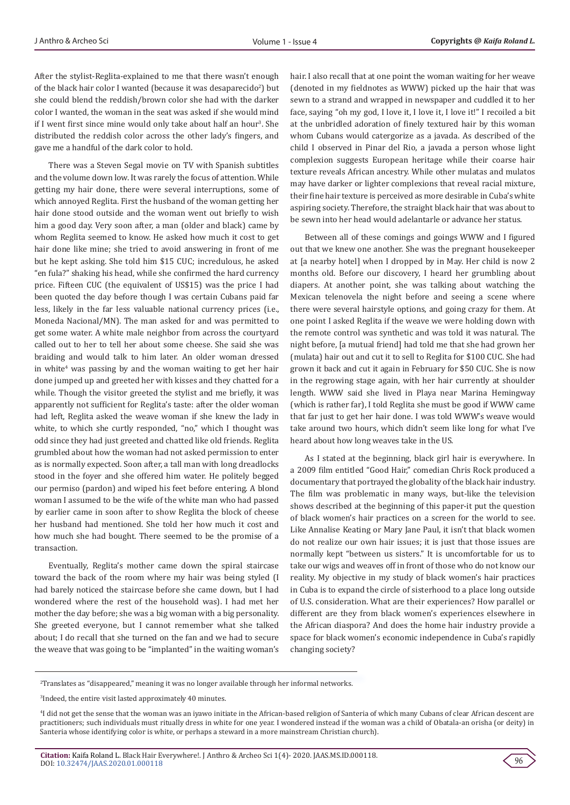After the stylist-Reglita-explained to me that there wasn't enough of the black hair color I wanted (because it was desaparecido<sup>2</sup>) but she could blend the reddish/brown color she had with the darker color I wanted, the woman in the seat was asked if she would mind if I went first since mine would only take about half an hour<sup>3</sup>. She distributed the reddish color across the other lady's fingers, and gave me a handful of the dark color to hold.

There was a Steven Segal movie on TV with Spanish subtitles and the volume down low. It was rarely the focus of attention. While getting my hair done, there were several interruptions, some of which annoyed Reglita. First the husband of the woman getting her hair done stood outside and the woman went out briefly to wish him a good day. Very soon after, a man (older and black) came by whom Reglita seemed to know. He asked how much it cost to get hair done like mine; she tried to avoid answering in front of me but he kept asking. She told him \$15 CUC; incredulous, he asked "en fula?" shaking his head, while she confirmed the hard currency price. Fifteen CUC (the equivalent of US\$15) was the price I had been quoted the day before though I was certain Cubans paid far less, likely in the far less valuable national currency prices (i.e., Moneda Nacional/MN). The man asked for and was permitted to get some water. A white male neighbor from across the courtyard called out to her to tell her about some cheese. She said she was braiding and would talk to him later. An older woman dressed in white<sup>4</sup> was passing by and the woman waiting to get her hair done jumped up and greeted her with kisses and they chatted for a while. Though the visitor greeted the stylist and me briefly, it was apparently not sufficient for Reglita's taste: after the older woman had left, Reglita asked the weave woman if she knew the lady in white, to which she curtly responded, "no," which I thought was odd since they had just greeted and chatted like old friends. Reglita grumbled about how the woman had not asked permission to enter as is normally expected. Soon after, a tall man with long dreadlocks stood in the foyer and she offered him water. He politely begged our permiso (pardon) and wiped his feet before entering. A blond woman I assumed to be the wife of the white man who had passed by earlier came in soon after to show Reglita the block of cheese her husband had mentioned. She told her how much it cost and how much she had bought. There seemed to be the promise of a transaction.

Eventually, Reglita's mother came down the spiral staircase toward the back of the room where my hair was being styled (I had barely noticed the staircase before she came down, but I had wondered where the rest of the household was). I had met her mother the day before; she was a big woman with a big personality. She greeted everyone, but I cannot remember what she talked about; I do recall that she turned on the fan and we had to secure the weave that was going to be "implanted" in the waiting woman's

hair. I also recall that at one point the woman waiting for her weave (denoted in my fieldnotes as WWW) picked up the hair that was sewn to a strand and wrapped in newspaper and cuddled it to her face, saying "oh my god, I love it, I love it, I love it!" I recoiled a bit at the unbridled adoration of finely textured hair by this woman whom Cubans would catergorize as a javada. As described of the child I observed in Pinar del Rio, a javada a person whose light complexion suggests European heritage while their coarse hair texture reveals African ancestry. While other mulatas and mulatos may have darker or lighter complexions that reveal racial mixture, their fine hair texture is perceived as more desirable in Cuba's white aspiring society. Therefore, the straight black hair that was about to be sewn into her head would adelantarle or advance her status.

Between all of these comings and goings WWW and I figured out that we knew one another. She was the pregnant housekeeper at [a nearby hotel] when I dropped by in May. Her child is now 2 months old. Before our discovery, I heard her grumbling about diapers. At another point, she was talking about watching the Mexican telenovela the night before and seeing a scene where there were several hairstyle options, and going crazy for them. At one point I asked Reglita if the weave we were holding down with the remote control was synthetic and was told it was natural. The night before, [a mutual friend] had told me that she had grown her (mulata) hair out and cut it to sell to Reglita for \$100 CUC. She had grown it back and cut it again in February for \$50 CUC. She is now in the regrowing stage again, with her hair currently at shoulder length. WWW said she lived in Playa near Marina Hemingway (which is rather far), I told Reglita she must be good if WWW came that far just to get her hair done. I was told WWW's weave would take around two hours, which didn't seem like long for what I've heard about how long weaves take in the US.

As I stated at the beginning, black girl hair is everywhere. In a 2009 film entitled "Good Hair," comedian Chris Rock produced a documentary that portrayed the globality of the black hair industry. The film was problematic in many ways, but-like the television shows described at the beginning of this paper-it put the question of black women's hair practices on a screen for the world to see. Like Annalise Keating or Mary Jane Paul, it isn't that black women do not realize our own hair issues; it is just that those issues are normally kept "between us sisters." It is uncomfortable for us to take our wigs and weaves off in front of those who do not know our reality. My objective in my study of black women's hair practices in Cuba is to expand the circle of sisterhood to a place long outside of U.S. consideration. What are their experiences? How parallel or different are they from black women's experiences elsewhere in the African diaspora? And does the home hair industry provide a space for black women's economic independence in Cuba's rapidly changing society?



<sup>2</sup> Translates as "disappeared," meaning it was no longer available through her informal networks.

<sup>3</sup> Indeed, the entire visit lasted approximately 40 minutes.

<sup>4</sup> I did not get the sense that the woman was an iyawo initiate in the African-based religion of Santeria of which many Cubans of clear African descent are practitioners; such individuals must ritually dress in white for one year. I wondered instead if the woman was a child of Obatala-an orisha (or deity) in Santeria whose identifying color is white, or perhaps a steward in a more mainstream Christian church).